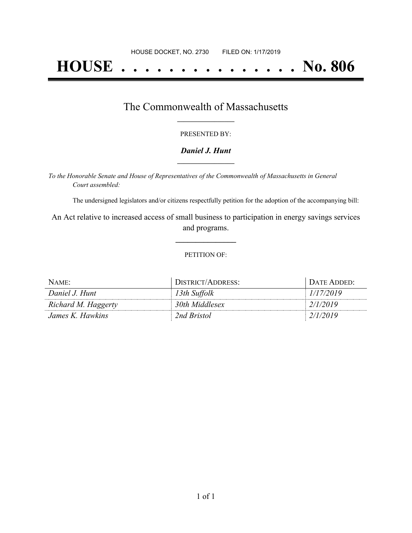# **HOUSE . . . . . . . . . . . . . . . No. 806**

## The Commonwealth of Massachusetts **\_\_\_\_\_\_\_\_\_\_\_\_\_\_\_\_\_**

#### PRESENTED BY:

#### *Daniel J. Hunt* **\_\_\_\_\_\_\_\_\_\_\_\_\_\_\_\_\_**

*To the Honorable Senate and House of Representatives of the Commonwealth of Massachusetts in General Court assembled:*

The undersigned legislators and/or citizens respectfully petition for the adoption of the accompanying bill:

An Act relative to increased access of small business to participation in energy savings services and programs.

**\_\_\_\_\_\_\_\_\_\_\_\_\_\_\_**

#### PETITION OF:

| NAME:               | DISTRICT/ADDRESS: | DATE ADDED: |
|---------------------|-------------------|-------------|
| Daniel J. Hunt      | 13th Suffolk      | 1/17/2019   |
| Richard M. Haggerty | 30th Middlesex    | 2/1/2019    |
| James K. Hawkins    | 2nd Bristol       | 2/1/2019    |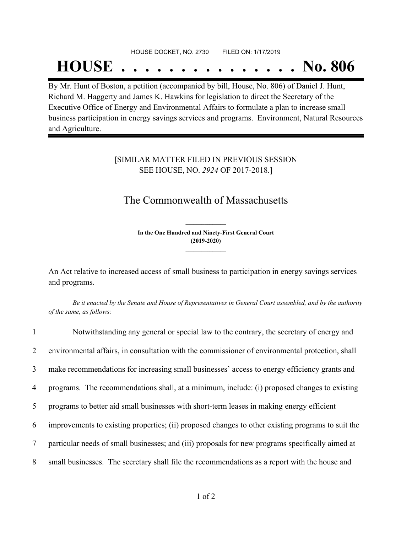# HOUSE DOCKET, NO. 2730 FILED ON: 1/17/2019 **HOUSE . . . . . . . . . . . . . . . No. 806**

By Mr. Hunt of Boston, a petition (accompanied by bill, House, No. 806) of Daniel J. Hunt, Richard M. Haggerty and James K. Hawkins for legislation to direct the Secretary of the Executive Office of Energy and Environmental Affairs to formulate a plan to increase small business participation in energy savings services and programs. Environment, Natural Resources and Agriculture.

### [SIMILAR MATTER FILED IN PREVIOUS SESSION SEE HOUSE, NO. *2924* OF 2017-2018.]

## The Commonwealth of Massachusetts

**In the One Hundred and Ninety-First General Court (2019-2020) \_\_\_\_\_\_\_\_\_\_\_\_\_\_\_**

**\_\_\_\_\_\_\_\_\_\_\_\_\_\_\_**

An Act relative to increased access of small business to participation in energy savings services and programs.

Be it enacted by the Senate and House of Representatives in General Court assembled, and by the authority *of the same, as follows:*

| $\mathbf{1}$   | Notwithstanding any general or special law to the contrary, the secretary of energy and           |
|----------------|---------------------------------------------------------------------------------------------------|
| $\overline{2}$ | environmental affairs, in consultation with the commissioner of environmental protection, shall   |
| 3              | make recommendations for increasing small businesses' access to energy efficiency grants and      |
| 4              | programs. The recommendations shall, at a minimum, include: (i) proposed changes to existing      |
| 5              | programs to better aid small businesses with short-term leases in making energy efficient         |
| 6              | improvements to existing properties; (ii) proposed changes to other existing programs to suit the |
| $\tau$         | particular needs of small businesses; and (iii) proposals for new programs specifically aimed at  |
| 8              | small businesses. The secretary shall file the recommendations as a report with the house and     |